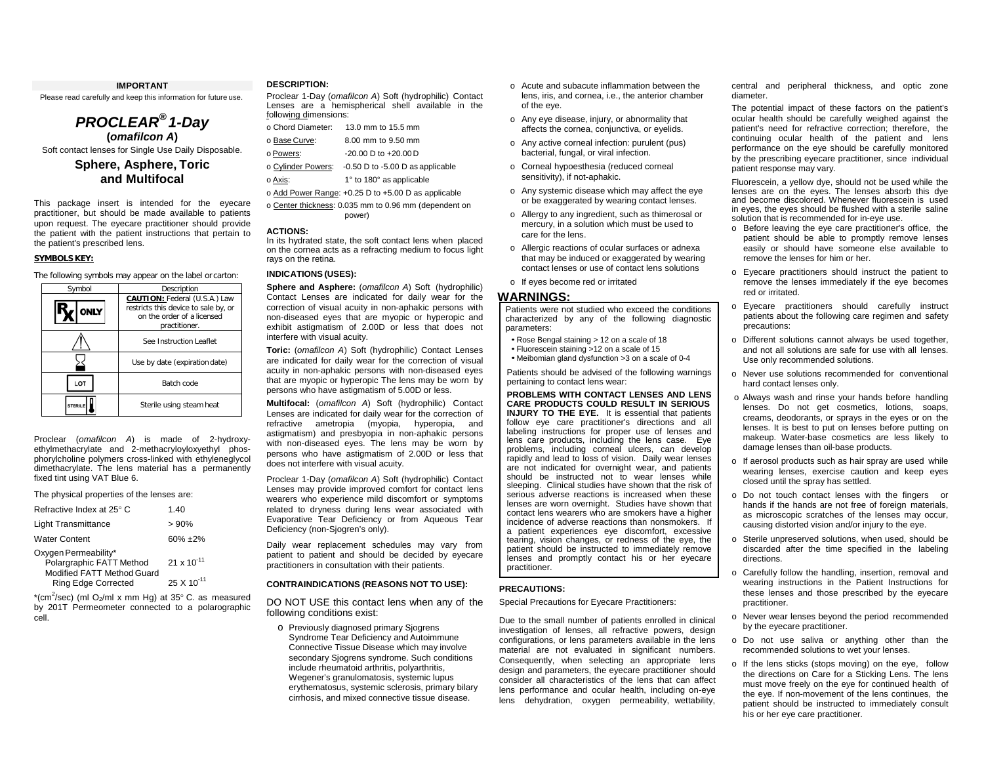### **IMPORTANT**

Please read carefully and keep this information for future use.

*PROCLEAR® 1-Day* **(***omafilcon A***)**

# Soft contact lenses for Single Use Daily Disposable. **Sphere, Asphere, Toric and Multifocal**

This package insert is intended for the eyecare practitioner, but should be made available to patients upon request. The eyecare practitioner should provide the patient with the patient instructions that pertain to the patient's prescribed lens.

### **SYMBOLS KEY:**

The following symbols may appear on the label or carton:

| Symbol        | Description                                                                                                                 |  |
|---------------|-----------------------------------------------------------------------------------------------------------------------------|--|
|               | <b>CAUTION: Federal (U.S.A.) Law</b><br>restricts this device to sale by, or<br>on the order of a licensed<br>practitioner. |  |
|               | See Instruction Leaflet                                                                                                     |  |
|               | Use by date (expiration date)                                                                                               |  |
| LOT           | Batch code                                                                                                                  |  |
| <b>TFRILF</b> | Sterile using steam heat                                                                                                    |  |

Proclear (*omafilcon A*) is made of 2-hydroxyethylmethacrylate and 2-methacryloyloxyethyl phosphorylcholine polymers cross-linked with ethyleneglycol dimethacrylate. The lens material has a permanently fixed tint using VAT Blue 6.

The physical properties of the lenses are:

| Refractive Index at 25° C                                                      | 1.40                 |
|--------------------------------------------------------------------------------|----------------------|
| <b>Light Transmittance</b>                                                     | > 90%                |
| <b>Water Content</b>                                                           | $60\% + 2\%$         |
| Oxygen Permeability*<br>Polargraphic FATT Method<br>Modified FATT Method Guard | $21 \times 10^{-11}$ |
| <b>Ring Edge Corrected</b>                                                     | $25 \times 10^{-11}$ |

 $*(cm^2/sec)$  (ml O<sub>2</sub>/ml x mm Hg) at 35° C. as measured by 201T Permeometer connected to a polarographic cell.

#### **DESCRIPTION:**

Proclear 1-Day (*omafilcon A*) Soft (hydrophilic) Contact Lenses are a hemispherical shell available in the following dimensions:

| o Chord Diameter:  | 13.0 mm to 15.5 mm                                  |
|--------------------|-----------------------------------------------------|
| o Base Curve:      | 8.00 mm to 9.50 mm                                  |
| o Powers:          | $-20.00$ D to $+20.00$ D                            |
| o Cylinder Powers: | $-0.50$ D to $-5.00$ D as applicable                |
| o Axis:            | 1° to 180° as applicable                            |
|                    | o Add Power Range: +0.25 D to +5.00 D as applicable |

o Center thickness: 0.035 mm to 0.96 mm (dependent on power)

# **ACTIONS:**

In its hydrated state, the soft contact lens when placed on the cornea acts as a refracting medium to focus light rays on the retina.

### **INDICATIONS (USES):**

**Sphere and Asphere:** (*omafilcon A*) Soft (hydrophilic) Contact Lenses are indicated for daily wear for the correction of visual acuity in non-aphakic persons with non-diseased eyes that are myopic or hyperopic and exhibit astigmatism of 2.00D or less that does not interfere with visual acuity.

**Toric:** (*omafilcon A*) Soft (hydrophilic) Contact Lenses are indicated for daily wear for the correction of visual acuity in non-aphakic persons with non-diseased eyes that are myopic or hyperopic The lens may be worn by persons who have astigmatism of 5.00D or less.

**Multifocal:** (*omafilcon A*) Soft (hydrophilic) Contact Lenses are indicated for daily wear for the correction of refractive ametropia (myopia, hyperopia, and astigmatism) and presbyopia in non-aphakic persons with non-diseased eyes. The lens may be worn by persons who have astigmatism of 2.00D or less that does not interfere with visual acuity.

Proclear 1-Day (*omafilcon A*) Soft (hydrophilic) Contact Lenses may provide improved comfort for contact lens wearers who experience mild discomfort or symptoms related to dryness during lens wear associated with Evaporative Tear Deficiency or from Aqueous Tear Deficiency (non-Sjogren's only).

Daily wear replacement schedules may vary from patient to patient and should be decided by eyecare practitioners in consultation with their patients.

### **CONTRAINDICATIONS (REASONS NOT TO USE):**

DO NOT USE this contact lens when any of the following conditions exist:

o Previously diagnosed primary Sjogrens Syndrome Tear Deficiency and Autoimmune Connective Tissue Disease which may involve secondary Sjogrens syndrome. Such conditions include rheumatoid arthritis, polyarthritis, Wegener's granulomatosis, systemic lupus erythematosus, systemic sclerosis, primary bilary cirrhosis, and mixed connective tissue disease.

- o Acute and subacute inflammation between the lens, iris, and cornea, i.e., the anterior chamber of the eye.
- o Any eye disease, injury, or abnormality that affects the cornea, conjunctiva, or eyelids.
- o Any active corneal infection: purulent (pus) bacterial, fungal, or viral infection.
- o Corneal hypoesthesia (reduced corneal sensitivity), if not-aphakic.
- o Any systemic disease which may affect the eye or be exaggerated by wearing contact lenses.
- o Allergy to any ingredient, such as thimerosal or mercury, in a solution which must be used to care for the lens.
- o Allergic reactions of ocular surfaces or adnexa that may be induced or exaggerated by wearing contact lenses or use of contact lens solutions
- o If eyes become red or irritated

# **WARNINGS:**

Patients were not studied who exceed the conditions characterized by any of the following diagnostic parameters:

- Rose Bengal staining > 12 on a scale of 18
- Fluorescein staining >12 on a scale of 15
- Meibomian gland dysfunction >3 on a scale of 0-4

Patients should be advised of the following warnings pertaining to contact lens wear:

**PROBLEMS WITH CONTACT LENSES AND LENS CARE PRODUCTS COULD RESULT IN SERIOUS INJURY TO THE EYE.** It is essential that patients follow eye care practitioner's directions and all labeling instructions for proper use of lenses and lens care products, including the lens case. Eye problems, including corneal ulcers, can develop rapidly and lead to loss of vision. Daily wear lenses are not indicated for overnight wear, and patients should be instructed not to wear lenses while sleeping. Clinical studies have shown that the risk of serious adverse reactions is increased when these lenses are worn overnight. Studies have shown that contact lens wearers who are smokers have a higher incidence of adverse reactions than nonsmokers. If a patient experiences eye discomfort, excessive tearing, vision changes, or redness of the eye, the patient should be instructed to immediately remove lenses and promptly contact his or her eyecare practitioner.

### **PRECAUTIONS:**

Special Precautions for Eyecare Practitioners:

Due to the small number of patients enrolled in clinical investigation of lenses, all refractive powers, design configurations, or lens parameters available in the lens material are not evaluated in significant numbers. Consequently, when selecting an appropriate lens design and parameters, the eyecare practitioner should consider all characteristics of the lens that can affect lens performance and ocular health, including on-eye lens dehydration, oxygen permeability, wettability,

central and peripheral thickness, and optic zone diameter.

The potential impact of these factors on the patient's ocular health should be carefully weighed against the patient's need for refractive correction; therefore, the continuing ocular health of the patient and lens performance on the eye should be carefully monitored by the prescribing eyecare practitioner, since individual patient response may vary.

Fluorescein, a yellow dye, should not be used while the lenses are on the eyes. The lenses absorb this dye and become discolored. Whenever fluorescein is used in eyes, the eyes should be flushed with a sterile saline solution that is recommended for in-eye use.

- o Before leaving the eye care practitioner's office, the patient should be able to promptly remove lenses easily or should have someone else available to remove the lenses for him or her.
- o Eyecare practitioners should instruct the patient to remove the lenses immediately if the eye becomes red or irritated.
- o Eyecare practitioners should carefully instruct patients about the following care regimen and safety precautions:
- o Different solutions cannot always be used together, and not all solutions are safe for use with all lenses. Use only recommended solutions.
- o Never use solutions recommended for conventional hard contact lenses only.
- o Always wash and rinse your hands before handling lenses. Do not get cosmetics, lotions, soaps, creams, deodorants, or sprays in the eyes or on the lenses. It is best to put on lenses before putting on makeup. Water-base cosmetics are less likely to damage lenses than oil-base products.
- o If aerosol products such as hair spray are used while wearing lenses, exercise caution and keep eyes closed until the spray has settled.
- o Do not touch contact lenses with the fingers or hands if the hands are not free of foreign materials, as microscopic scratches of the lenses may occur, causing distorted vision and/or injury to the eye.
- o Sterile unpreserved solutions, when used, should be discarded after the time specified in the labeling directions.
- o Carefully follow the handling, insertion, removal and wearing instructions in the Patient Instructions for these lenses and those prescribed by the eyecare practitioner.
- o Never wear lenses beyond the period recommended by the eyecare practitioner.
- o Do not use saliva or anything other than the recommended solutions to wet your lenses.
- o If the lens sticks (stops moving) on the eye, follow the directions on Care for a Sticking Lens. The lens must move freely on the eye for continued health of the eye. If non-movement of the lens continues, the patient should be instructed to immediately consult his or her eye care practitioner.